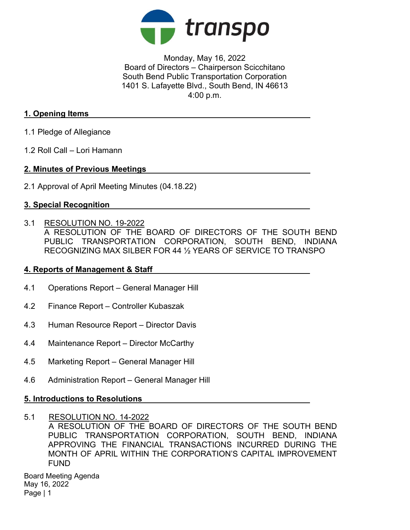

Monday, May 16, 2022 Board of Directors – Chairperson Scicchitano South Bend Public Transportation Corporation 1401 S. Lafayette Blvd., South Bend, IN 46613 4:00 p.m.

## 1. Opening Items

- 1.1 Pledge of Allegiance
- 1.2 Roll Call Lori Hamann

## 2. Minutes of Previous Meetings

2.1 Approval of April Meeting Minutes (04.18.22)

## 3. Special Recognition

3.1 RESOLUTION NO. 19-2022

A RESOLUTION OF THE BOARD OF DIRECTORS OF THE SOUTH BEND PUBLIC TRANSPORTATION CORPORATION, SOUTH BEND, INDIANA RECOGNIZING MAX SILBER FOR 44 ½ YEARS OF SERVICE TO TRANSPO

## 4. Reports of Management & Staff

- 4.1 Operations Report General Manager Hill
- 4.2 Finance Report Controller Kubaszak
- 4.3 Human Resource Report Director Davis
- 4.4 Maintenance Report Director McCarthy
- 4.5 Marketing Report General Manager Hill
- 4.6 Administration Report General Manager Hill

## 5. Introductions to Resolutions

5.1 RESOLUTION NO. 14-2022 A RESOLUTION OF THE BOARD OF DIRECTORS OF THE SOUTH BEND PUBLIC TRANSPORTATION CORPORATION, SOUTH BEND, INDIANA APPROVING THE FINANCIAL TRANSACTIONS INCURRED DURING THE MONTH OF APRIL WITHIN THE CORPORATION'S CAPITAL IMPROVEMENT FUND

Board Meeting Agenda May 16, 2022 Page | 1